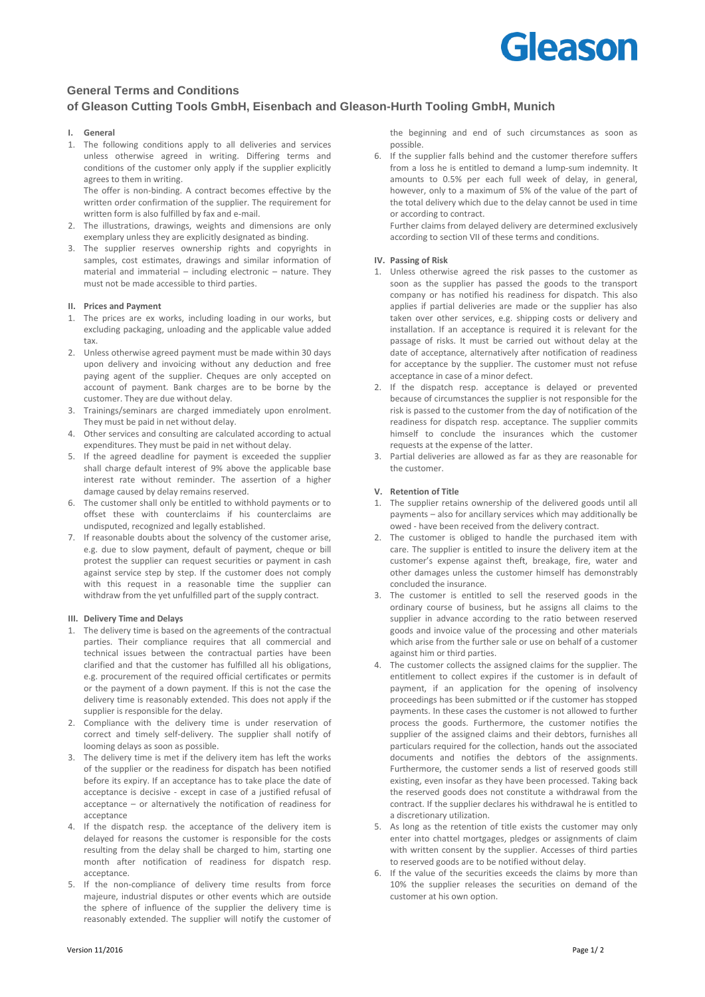# Gleason

## **General Terms and Conditions of Gleason Cutting Tools GmbH, Eisenbach and Gleason-Hurth Tooling GmbH, Munich**

### **I. General**

1. The following conditions apply to all deliveries and services unless otherwise agreed in writing. Differing terms and conditions of the customer only apply if the supplier explicitly agrees to them in writing. The offer is non-binding. A contract becomes effective by the

written order confirmation of the supplier. The requirement for written form is also fulfilled by fax and e-mail.

- 2. The illustrations, drawings, weights and dimensions are only exemplary unless they are explicitly designated as binding.
- 3. The supplier reserves ownership rights and copyrights in samples, cost estimates, drawings and similar information of material and immaterial – including electronic – nature. They must not be made accessible to third parties.

### **II. Prices and Payment**

- 1. The prices are ex works, including loading in our works, but excluding packaging, unloading and the applicable value added tax.
- 2. Unless otherwise agreed payment must be made within 30 days upon delivery and invoicing without any deduction and free paying agent of the supplier. Cheques are only accepted on account of payment. Bank charges are to be borne by the customer. They are due without delay.
- 3. Trainings/seminars are charged immediately upon enrolment. They must be paid in net without delay.
- 4. Other services and consulting are calculated according to actual expenditures. They must be paid in net without delay.
- 5. If the agreed deadline for payment is exceeded the supplier shall charge default interest of 9% above the applicable base interest rate without reminder. The assertion of a higher damage caused by delay remains reserved.
- 6. The customer shall only be entitled to withhold payments or to offset these with counterclaims if his counterclaims are undisputed, recognized and legally established.
- 7. If reasonable doubts about the solvency of the customer arise, e.g. due to slow payment, default of payment, cheque or bill protest the supplier can request securities or payment in cash against service step by step. If the customer does not comply with this request in a reasonable time the supplier can withdraw from the yet unfulfilled part of the supply contract.

### **III. Delivery Time and Delays**

- 1. The delivery time is based on the agreements of the contractual parties. Their compliance requires that all commercial and technical issues between the contractual parties have been clarified and that the customer has fulfilled all his obligations, e.g. procurement of the required official certificates or permits or the payment of a down payment. If this is not the case the delivery time is reasonably extended. This does not apply if the supplier is responsible for the delay.
- 2. Compliance with the delivery time is under reservation of correct and timely self-delivery. The supplier shall notify of looming delays as soon as possible.
- 3. The delivery time is met if the delivery item has left the works of the supplier or the readiness for dispatch has been notified before its expiry. If an acceptance has to take place the date of acceptance is decisive - except in case of a justified refusal of acceptance – or alternatively the notification of readiness for acceptance
- 4. If the dispatch resp. the acceptance of the delivery item is delayed for reasons the customer is responsible for the costs resulting from the delay shall be charged to him, starting one month after notification of readiness for dispatch resp. acceptance.
- 5. If the non-compliance of delivery time results from force majeure, industrial disputes or other events which are outside the sphere of influence of the supplier the delivery time is reasonably extended. The supplier will notify the customer of

6. If the supplier falls behind and the customer therefore suffers from a loss he is entitled to demand a lump-sum indemnity. It amounts to 0.5% per each full week of delay, in general, however, only to a maximum of 5% of the value of the part of the total delivery which due to the delay cannot be used in time or according to contract.

Further claims from delayed delivery are determined exclusively according to section VII of these terms and conditions.

### **IV. Passing of Risk**

- 1. Unless otherwise agreed the risk passes to the customer as soon as the supplier has passed the goods to the transport company or has notified his readiness for dispatch. This also applies if partial deliveries are made or the supplier has also taken over other services, e.g. shipping costs or delivery and installation. If an acceptance is required it is relevant for the passage of risks. It must be carried out without delay at the date of acceptance, alternatively after notification of readiness for acceptance by the supplier. The customer must not refuse acceptance in case of a minor defect.
- 2. If the dispatch resp. acceptance is delayed or prevented because of circumstances the supplier is not responsible for the risk is passed to the customer from the day of notification of the readiness for dispatch resp. acceptance. The supplier commits himself to conclude the insurances which the customer requests at the expense of the latter.
- 3. Partial deliveries are allowed as far as they are reasonable for the customer.

### **V. Retention of Title**

- 1. The supplier retains ownership of the delivered goods until all payments – also for ancillary services which may additionally be owed - have been received from the delivery contract.
- 2. The customer is obliged to handle the purchased item with care. The supplier is entitled to insure the delivery item at the customer's expense against theft, breakage, fire, water and other damages unless the customer himself has demonstrably concluded the insurance.
- 3. The customer is entitled to sell the reserved goods in the ordinary course of business, but he assigns all claims to the supplier in advance according to the ratio between reserved goods and invoice value of the processing and other materials which arise from the further sale or use on behalf of a customer against him or third parties.
- 4. The customer collects the assigned claims for the supplier. The entitlement to collect expires if the customer is in default of payment, if an application for the opening of insolvency proceedings has been submitted or if the customer has stopped payments. In these cases the customer is not allowed to further process the goods. Furthermore, the customer notifies the supplier of the assigned claims and their debtors, furnishes all particulars required for the collection, hands out the associated documents and notifies the debtors of the assignments. Furthermore, the customer sends a list of reserved goods still existing, even insofar as they have been processed. Taking back the reserved goods does not constitute a withdrawal from the contract. If the supplier declares his withdrawal he is entitled to a discretionary utilization.
- 5. As long as the retention of title exists the customer may only enter into chattel mortgages, pledges or assignments of claim with written consent by the supplier. Accesses of third parties to reserved goods are to be notified without delay.
- 6. If the value of the securities exceeds the claims by more than 10% the supplier releases the securities on demand of the customer at his own option.